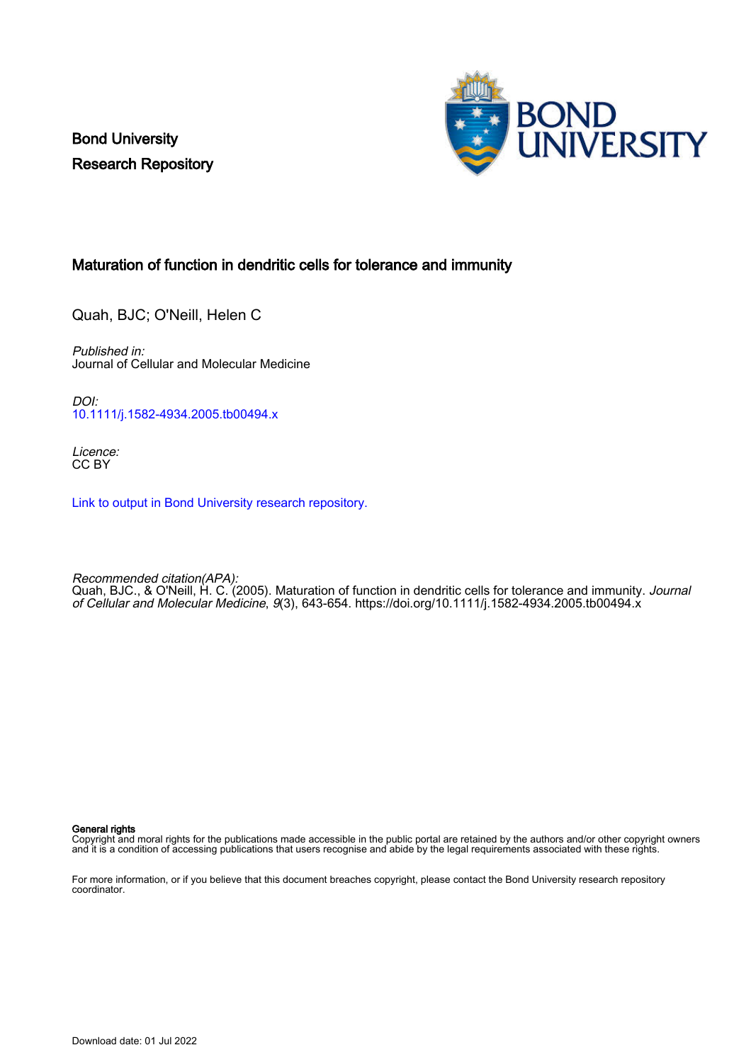Bond University Research Repository



## Maturation of function in dendritic cells for tolerance and immunity

Quah, BJC; O'Neill, Helen C

Published in: Journal of Cellular and Molecular Medicine

DOI: [10.1111/j.1582-4934.2005.tb00494.x](https://doi.org/10.1111/j.1582-4934.2005.tb00494.x)

Licence: CC BY

[Link to output in Bond University research repository.](https://research.bond.edu.au/en/publications/556bf0b5-a3c0-4271-8a11-f3adfe982a55)

Recommended citation(APA): Quah, BJC., & O'Neill, H. C. (2005). Maturation of function in dendritic cells for tolerance and immunity. *Journal* of Cellular and Molecular Medicine, 9(3), 643-654.<https://doi.org/10.1111/j.1582-4934.2005.tb00494.x>

General rights

Copyright and moral rights for the publications made accessible in the public portal are retained by the authors and/or other copyright owners and it is a condition of accessing publications that users recognise and abide by the legal requirements associated with these rights.

For more information, or if you believe that this document breaches copyright, please contact the Bond University research repository coordinator.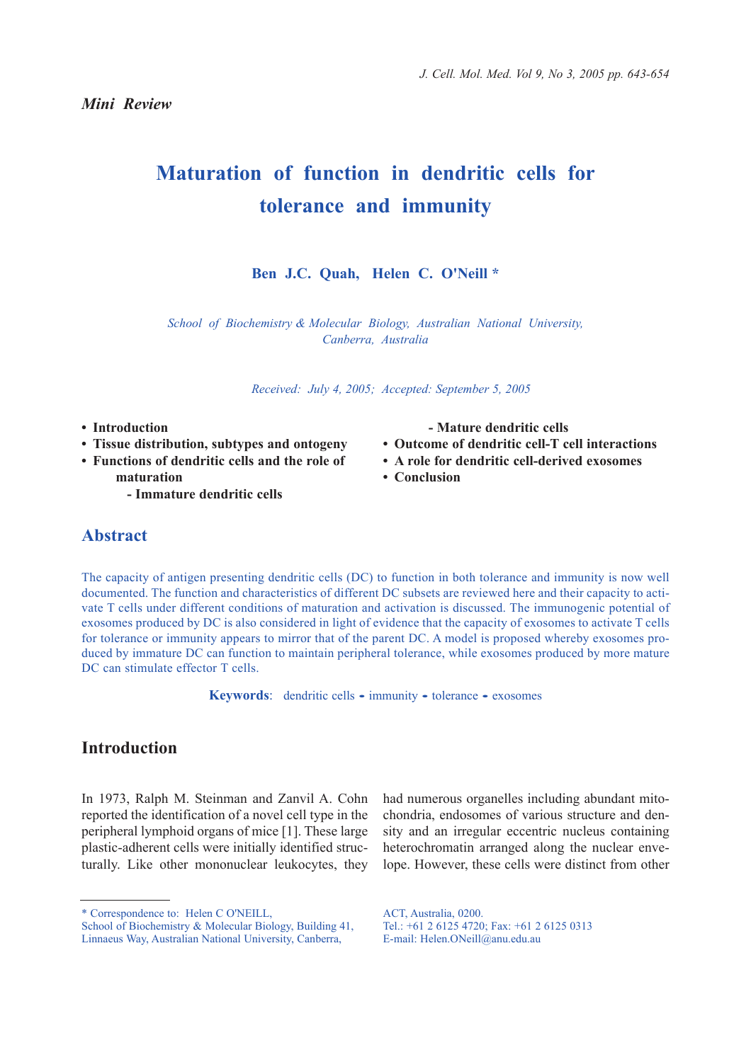*Mini Review*

# **Maturation of function in dendritic cells for tolerance and immunity**

#### **Ben J.C. Quah, Helen C. O'Neill \***

*School of Biochemistry & Molecular Biology, Australian National University, Canberra, Australia*

*Received: July 4, 2005; Accepted: September 5, 2005*

- **Introduction**
- **Tissue distribution, subtypes and ontogeny**
- **Functions of dendritic cells and the role of**
- **maturation - Immature dendritic cells**

# **Abstract**

The capacity of antigen presenting dendritic cells (DC) to function in both tolerance and immunity is now well documented. The function and characteristics of different DC subsets are reviewed here and their capacity to activate T cells under different conditions of maturation and activation is discussed. The immunogenic potential of exosomes produced by DC is also considered in light of evidence that the capacity of exosomes to activate T cells for tolerance or immunity appears to mirror that of the parent DC. A model is proposed whereby exosomes produced by immature DC can function to maintain peripheral tolerance, while exosomes produced by more mature DC can stimulate effector T cells.

Keywords: dendritic cells • immunity • tolerance • exosomes

# **Introduction**

In 1973, Ralph M. Steinman and Zanvil A. Cohn reported the identification of a novel cell type in the peripheral lymphoid organs of mice [1]. These large plastic-adherent cells were initially identified structurally. Like other mononuclear leukocytes, they

had numerous organelles including abundant mitochondria, endosomes of various structure and density and an irregular eccentric nucleus containing heterochromatin arranged along the nuclear envelope. However, these cells were distinct from other

ACT, Australia, 0200. Tel.: +61 2 6125 4720; Fax: +61 2 6125 0313 E-mail: Helen.ONeill@anu.edu.au

**- Mature dendritic cells** 

- **Outcome of dendritic cell-T cell interactions**
- **A role for dendritic cell-derived exosomes**
- **Conclusion**

<sup>\*</sup> Correspondence to: Helen C O'NEILL,

School of Biochemistry & Molecular Biology, Building 41, Linnaeus Way, Australian National University, Canberra,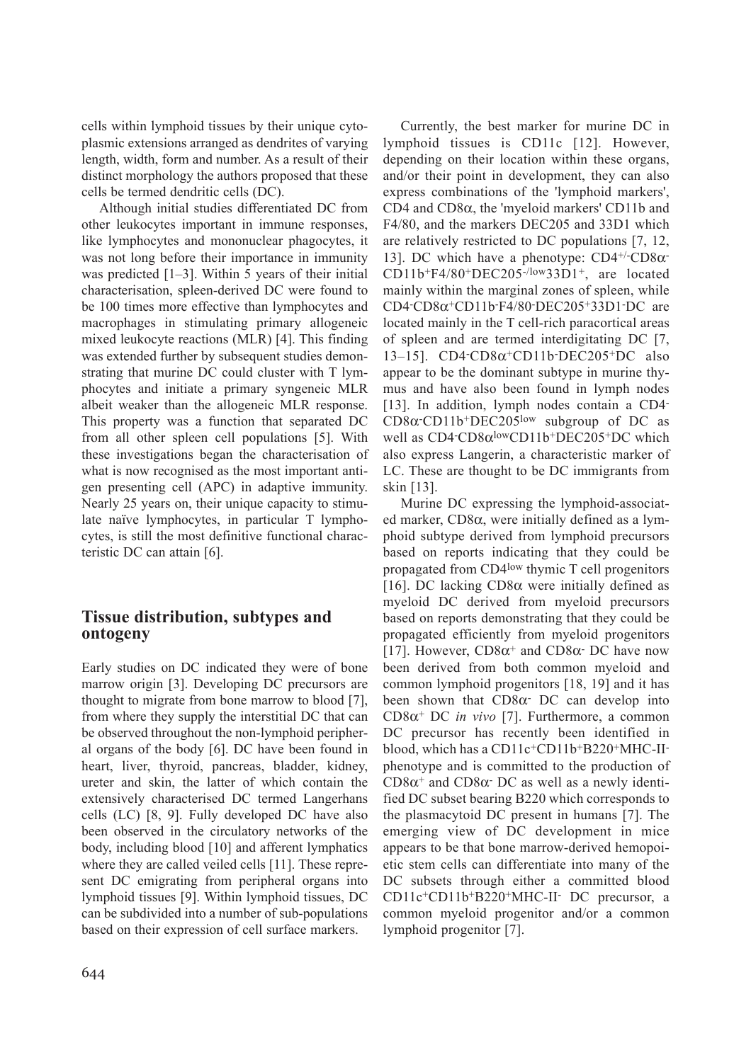cells within lymphoid tissues by their unique cytoplasmic extensions arranged as dendrites of varying length, width, form and number. As a result of their distinct morphology the authors proposed that these cells be termed dendritic cells (DC).

Although initial studies differentiated DC from other leukocytes important in immune responses, like lymphocytes and mononuclear phagocytes, it was not long before their importance in immunity was predicted [1–3]. Within 5 years of their initial characterisation, spleen-derived DC were found to be 100 times more effective than lymphocytes and macrophages in stimulating primary allogeneic mixed leukocyte reactions (MLR) [4]. This finding was extended further by subsequent studies demonstrating that murine DC could cluster with T lymphocytes and initiate a primary syngeneic MLR albeit weaker than the allogeneic MLR response. This property was a function that separated DC from all other spleen cell populations [5]. With these investigations began the characterisation of what is now recognised as the most important antigen presenting cell (APC) in adaptive immunity. Nearly 25 years on, their unique capacity to stimulate naïve lymphocytes, in particular T lymphocytes, is still the most definitive functional characteristic DC can attain [6].

## **Tissue distribution, subtypes and ontogeny**

Early studies on DC indicated they were of bone marrow origin [3]. Developing DC precursors are thought to migrate from bone marrow to blood [7], from where they supply the interstitial DC that can be observed throughout the non-lymphoid peripheral organs of the body [6]. DC have been found in heart, liver, thyroid, pancreas, bladder, kidney, ureter and skin, the latter of which contain the extensively characterised DC termed Langerhans cells (LC) [8, 9]. Fully developed DC have also been observed in the circulatory networks of the body, including blood [10] and afferent lymphatics where they are called veiled cells [11]. These represent DC emigrating from peripheral organs into lymphoid tissues [9]. Within lymphoid tissues, DC can be subdivided into a number of sub-populations based on their expression of cell surface markers.

Currently, the best marker for murine DC in lymphoid tissues is CD11c [12]. However, depending on their location within these organs, and/or their point in development, they can also express combinations of the 'lymphoid markers', CD4 and CD8α, the 'myeloid markers' CD11b and F4/80, and the markers DEC205 and 33D1 which are relatively restricted to DC populations [7, 12, 13]. DC which have a phenotype:  $CD4^{+/-}CD8\alpha$ CD11b+F4/80+DEC205-/low33D1+, are located mainly within the marginal zones of spleen, while CD4 $-CD8\alpha$ <sup>+</sup>CD11b-F4/80 $\cdot$ DEC205<sup>+</sup>33D1 $\cdot$ DC are located mainly in the T cell-rich paracortical areas of spleen and are termed interdigitating DC [7, 13–15]. CD4-CD8α+CD11b-DEC205+DC also appear to be the dominant subtype in murine thymus and have also been found in lymph nodes [13]. In addition, lymph nodes contain a CD4-CD8α-CD11b+DEC205low subgroup of DC as well as  $CD4$ -CD8 $\alpha$ <sup>low</sup>CD11b<sup>+</sup>DEC205<sup>+</sup>DC which also express Langerin, a characteristic marker of LC. These are thought to be DC immigrants from skin [13].

Murine DC expressing the lymphoid-associated marker, CD8α, were initially defined as a lymphoid subtype derived from lymphoid precursors based on reports indicating that they could be propagated from CD4low thymic T cell progenitors [16]. DC lacking CD8α were initially defined as myeloid DC derived from myeloid precursors based on reports demonstrating that they could be propagated efficiently from myeloid progenitors [17]. However,  $CD8\alpha^+$  and  $CD8\alpha^-$  DC have now been derived from both common myeloid and common lymphoid progenitors [18, 19] and it has been shown that  $CD8\alpha$ - DC can develop into CD8α+ DC *in vivo* [7]. Furthermore, a common DC precursor has recently been identified in blood, which has a CD11c+CD11b+B220+MHC-IIphenotype and is committed to the production of CD8 $α$ <sup>+</sup> and CD8 $α$ <sup>-</sup> DC as well as a newly identified DC subset bearing B220 which corresponds to the plasmacytoid DC present in humans [7]. The emerging view of DC development in mice appears to be that bone marrow-derived hemopoietic stem cells can differentiate into many of the DC subsets through either a committed blood CD11c+CD11b+B220+MHC-II- DC precursor, a common myeloid progenitor and/or a common lymphoid progenitor [7].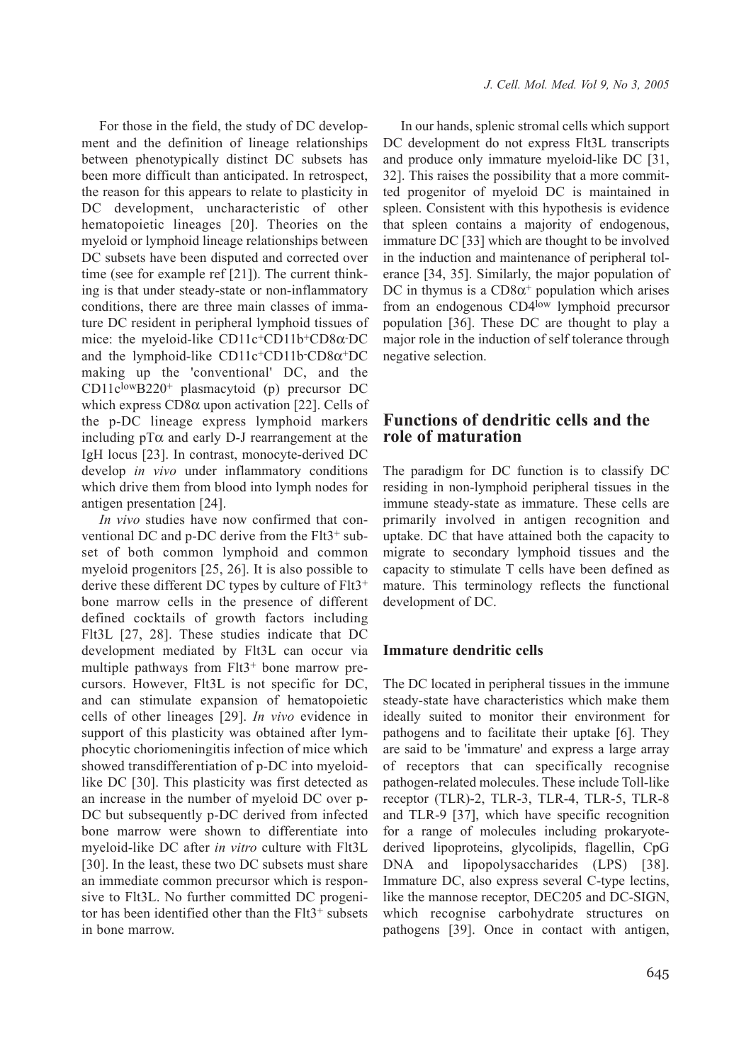For those in the field, the study of DC development and the definition of lineage relationships between phenotypically distinct DC subsets has been more difficult than anticipated. In retrospect, the reason for this appears to relate to plasticity in DC development, uncharacteristic of other hematopoietic lineages [20]. Theories on the myeloid or lymphoid lineage relationships between DC subsets have been disputed and corrected over time (see for example ref [21]). The current thinking is that under steady-state or non-inflammatory conditions, there are three main classes of immature DC resident in peripheral lymphoid tissues of mice: the myeloid-like CD11c<sup>+</sup>CD11b<sup>+</sup>CD8α-DC and the lymphoid-like CD11c+CD11b-CD8 $\alpha$ +DC making up the 'conventional' DC, and the CD11clowB220+ plasmacytoid (p) precursor DC which express  $CD8\alpha$  upon activation [22]. Cells of the p-DC lineage express lymphoid markers including  $pT\alpha$  and early D-J rearrangement at the IgH locus [23]. In contrast, monocyte-derived DC develop *in vivo* under inflammatory conditions which drive them from blood into lymph nodes for antigen presentation [24].

*In vivo* studies have now confirmed that conventional DC and p-DC derive from the Flt3+ subset of both common lymphoid and common myeloid progenitors [25, 26]. It is also possible to derive these different DC types by culture of Flt3<sup>+</sup> bone marrow cells in the presence of different defined cocktails of growth factors including Flt3L [27, 28]. These studies indicate that DC development mediated by Flt3L can occur via multiple pathways from Flt3<sup>+</sup> bone marrow precursors. However, Flt3L is not specific for DC, and can stimulate expansion of hematopoietic cells of other lineages [29]. *In vivo* evidence in support of this plasticity was obtained after lymphocytic choriomeningitis infection of mice which showed transdifferentiation of p-DC into myeloidlike DC [30]. This plasticity was first detected as an increase in the number of myeloid DC over p-DC but subsequently p-DC derived from infected bone marrow were shown to differentiate into myeloid-like DC after *in vitro* culture with Flt3L [30]. In the least, these two DC subsets must share an immediate common precursor which is responsive to Flt3L. No further committed DC progenitor has been identified other than the Flt3<sup>+</sup> subsets in bone marrow.

In our hands, splenic stromal cells which support DC development do not express Flt3L transcripts and produce only immature myeloid-like DC [31, 32]. This raises the possibility that a more committed progenitor of myeloid DC is maintained in spleen. Consistent with this hypothesis is evidence that spleen contains a majority of endogenous, immature DC [33] which are thought to be involved in the induction and maintenance of peripheral tolerance [34, 35]. Similarly, the major population of DC in thymus is a  $CD8\alpha^+$  population which arises from an endogenous CD4low lymphoid precursor population [36]. These DC are thought to play a major role in the induction of self tolerance through negative selection.

## **Functions of dendritic cells and the role of maturation**

The paradigm for DC function is to classify DC residing in non-lymphoid peripheral tissues in the immune steady-state as immature. These cells are primarily involved in antigen recognition and uptake. DC that have attained both the capacity to migrate to secondary lymphoid tissues and the capacity to stimulate T cells have been defined as mature. This terminology reflects the functional development of DC.

#### **Immature dendritic cells**

The DC located in peripheral tissues in the immune steady-state have characteristics which make them ideally suited to monitor their environment for pathogens and to facilitate their uptake [6]. They are said to be 'immature' and express a large array of receptors that can specifically recognise pathogen-related molecules. These include Toll-like receptor (TLR)-2, TLR-3, TLR-4, TLR-5, TLR-8 and TLR-9 [37], which have specific recognition for a range of molecules including prokaryotederived lipoproteins, glycolipids, flagellin, CpG DNA and lipopolysaccharides (LPS) [38]. Immature DC, also express several C-type lectins, like the mannose receptor, DEC205 and DC-SIGN, which recognise carbohydrate structures on pathogens [39]. Once in contact with antigen,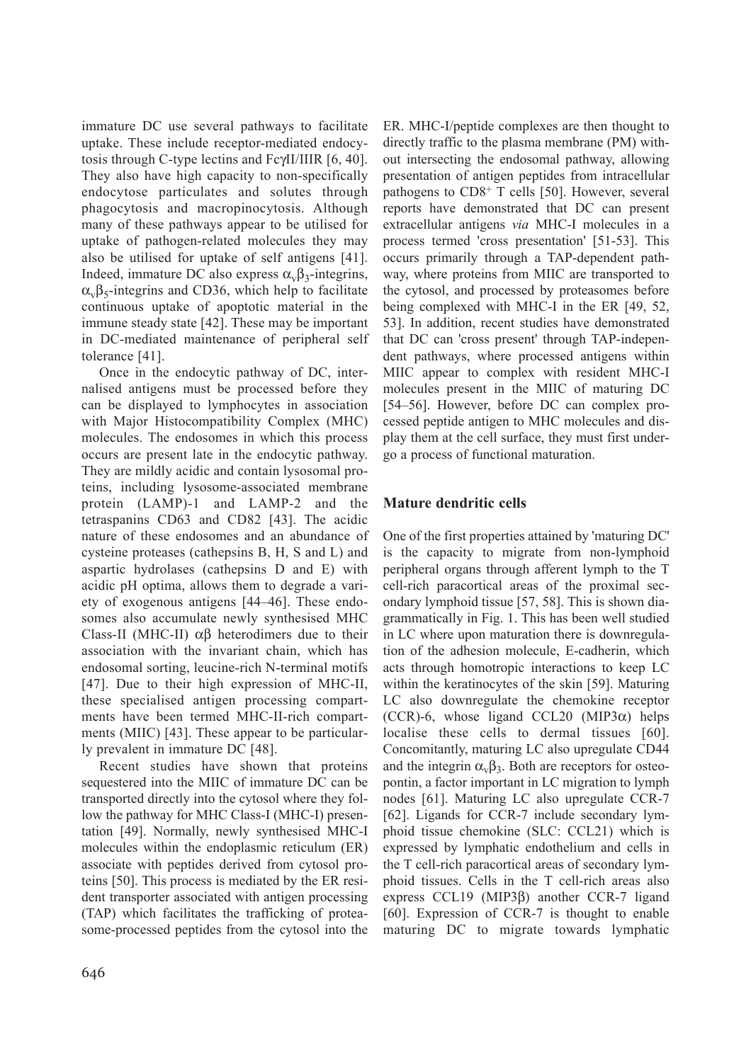immature DC use several pathways to facilitate uptake. These include receptor-mediated endocytosis through C-type lectins and FcγII/IIIR [6, 40]. They also have high capacity to non-specifically endocytose particulates and solutes through phagocytosis and macropinocytosis. Although many of these pathways appear to be utilised for uptake of pathogen-related molecules they may also be utilised for uptake of self antigens [41]. Indeed, immature DC also express  $\alpha_{v} \beta_{3}$ -integrins,  $\alpha_{v} \beta_{5}$ -integrins and CD36, which help to facilitate continuous uptake of apoptotic material in the immune steady state [42]. These may be important in DC-mediated maintenance of peripheral self tolerance [41].

Once in the endocytic pathway of DC, internalised antigens must be processed before they can be displayed to lymphocytes in association with Major Histocompatibility Complex (MHC) molecules. The endosomes in which this process occurs are present late in the endocytic pathway. They are mildly acidic and contain lysosomal proteins, including lysosome-associated membrane protein (LAMP)-1 and LAMP-2 and the tetraspanins CD63 and CD82 [43]. The acidic nature of these endosomes and an abundance of cysteine proteases (cathepsins B, H, S and L) and aspartic hydrolases (cathepsins D and E) with acidic pH optima, allows them to degrade a variety of exogenous antigens [44–46]. These endosomes also accumulate newly synthesised MHC Class-II (MHC-II) αβ heterodimers due to their association with the invariant chain, which has endosomal sorting, leucine-rich N-terminal motifs [47]. Due to their high expression of MHC-II, these specialised antigen processing compartments have been termed MHC-II-rich compartments (MIIC) [43]. These appear to be particularly prevalent in immature DC [48].

Recent studies have shown that proteins sequestered into the MIIC of immature DC can be transported directly into the cytosol where they follow the pathway for MHC Class-I (MHC-I) presentation [49]. Normally, newly synthesised MHC-I molecules within the endoplasmic reticulum (ER) associate with peptides derived from cytosol proteins [50]. This process is mediated by the ER resident transporter associated with antigen processing (TAP) which facilitates the trafficking of proteasome-processed peptides from the cytosol into the

ER. MHC-I/peptide complexes are then thought to directly traffic to the plasma membrane (PM) without intersecting the endosomal pathway, allowing presentation of antigen peptides from intracellular pathogens to CD8+ T cells [50]. However, several reports have demonstrated that DC can present extracellular antigens *via* MHC-I molecules in a process termed 'cross presentation' [51-53]. This occurs primarily through a TAP-dependent pathway, where proteins from MIIC are transported to the cytosol, and processed by proteasomes before being complexed with MHC-I in the ER [49, 52, 53]. In addition, recent studies have demonstrated that DC can 'cross present' through TAP-independent pathways, where processed antigens within MIIC appear to complex with resident MHC-I molecules present in the MIIC of maturing DC [54–56]. However, before DC can complex processed peptide antigen to MHC molecules and display them at the cell surface, they must first undergo a process of functional maturation.

## **Mature dendritic cells**

One of the first properties attained by 'maturing DC' is the capacity to migrate from non-lymphoid peripheral organs through afferent lymph to the T cell-rich paracortical areas of the proximal secondary lymphoid tissue [57, 58]. This is shown diagrammatically in Fig. 1. This has been well studied in LC where upon maturation there is downregulation of the adhesion molecule, E-cadherin, which acts through homotropic interactions to keep LC within the keratinocytes of the skin [59]. Maturing LC also downregulate the chemokine receptor  $(CCR)-6$ , whose ligand CCL20  $(MIP3\alpha)$  helps localise these cells to dermal tissues [60]. Concomitantly, maturing LC also upregulate CD44 and the integrin  $\alpha_{\nu} \beta_3$ . Both are receptors for osteopontin, a factor important in LC migration to lymph nodes [61]. Maturing LC also upregulate CCR-7 [62]. Ligands for CCR-7 include secondary lymphoid tissue chemokine (SLC: CCL21) which is expressed by lymphatic endothelium and cells in the T cell-rich paracortical areas of secondary lymphoid tissues. Cells in the T cell-rich areas also express CCL19 (MIP3β) another CCR-7 ligand [60]. Expression of CCR-7 is thought to enable maturing DC to migrate towards lymphatic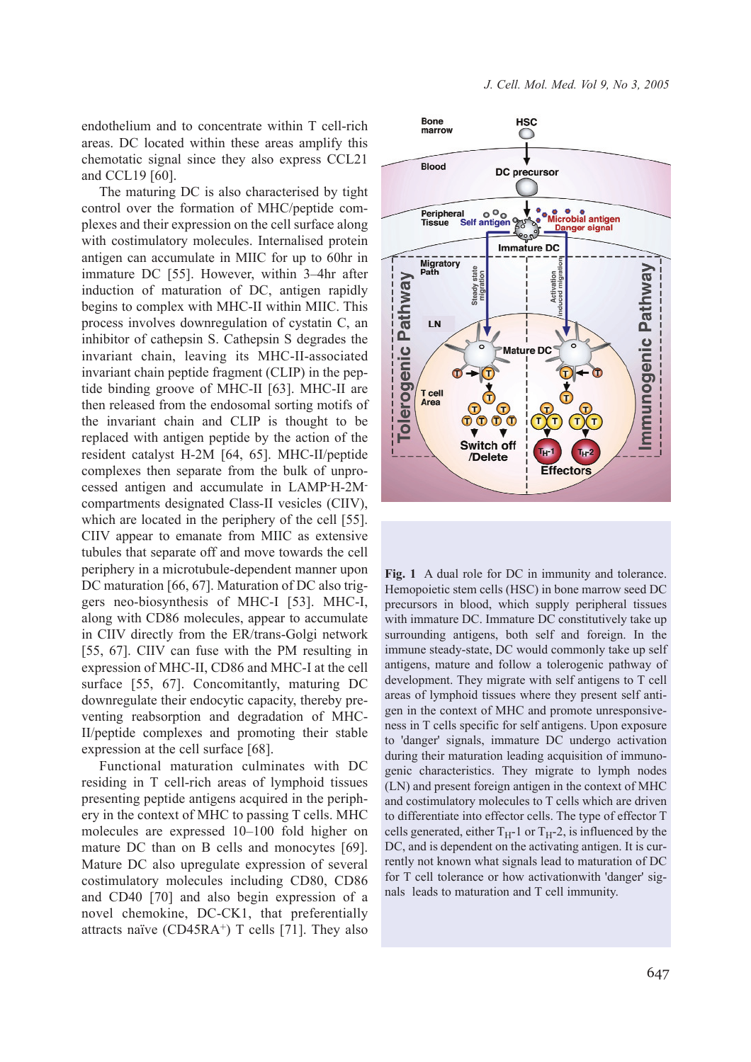endothelium and to concentrate within T cell-rich areas. DC located within these areas amplify this chemotatic signal since they also express CCL21 and CCL19 [60].

The maturing DC is also characterised by tight control over the formation of MHC/peptide complexes and their expression on the cell surface along with costimulatory molecules. Internalised protein antigen can accumulate in MIIC for up to 60hr in immature DC [55]. However, within 3–4hr after induction of maturation of DC, antigen rapidly begins to complex with MHC-II within MIIC. This process involves downregulation of cystatin C, an inhibitor of cathepsin S. Cathepsin S degrades the invariant chain, leaving its MHC-II-associated invariant chain peptide fragment (CLIP) in the peptide binding groove of MHC-II [63]. MHC-II are then released from the endosomal sorting motifs of the invariant chain and CLIP is thought to be replaced with antigen peptide by the action of the resident catalyst H-2M [64, 65]. MHC-II/peptide complexes then separate from the bulk of unprocessed antigen and accumulate in LAMP-H-2Mcompartments designated Class-II vesicles (CIIV), which are located in the periphery of the cell [55]. CIIV appear to emanate from MIIC as extensive tubules that separate off and move towards the cell periphery in a microtubule-dependent manner upon DC maturation [66, 67]. Maturation of DC also triggers neo-biosynthesis of MHC-I [53]. MHC-I, along with CD86 molecules, appear to accumulate in CIIV directly from the ER/trans-Golgi network [55, 67]. CIIV can fuse with the PM resulting in expression of MHC-II, CD86 and MHC-I at the cell surface [55, 67]. Concomitantly, maturing DC downregulate their endocytic capacity, thereby preventing reabsorption and degradation of MHC-II/peptide complexes and promoting their stable expression at the cell surface [68].

Functional maturation culminates with DC residing in T cell-rich areas of lymphoid tissues presenting peptide antigens acquired in the periphery in the context of MHC to passing T cells. MHC molecules are expressed 10–100 fold higher on mature DC than on B cells and monocytes [69]. Mature DC also upregulate expression of several costimulatory molecules including CD80, CD86 and CD40 [70] and also begin expression of a novel chemokine, DC-CK1, that preferentially attracts naïve  $(CD45RA^+)$  T cells [71]. They also



**Fig. 1** A dual role for DC in immunity and tolerance. Hemopoietic stem cells (HSC) in bone marrow seed DC precursors in blood, which supply peripheral tissues with immature DC. Immature DC constitutively take up surrounding antigens, both self and foreign. In the immune steady-state, DC would commonly take up self antigens, mature and follow a tolerogenic pathway of development. They migrate with self antigens to T cell areas of lymphoid tissues where they present self antigen in the context of MHC and promote unresponsiveness in T cells specific for self antigens. Upon exposure to 'danger' signals, immature DC undergo activation during their maturation leading acquisition of immunogenic characteristics. They migrate to lymph nodes (LN) and present foreign antigen in the context of MHC and costimulatory molecules to T cells which are driven to differentiate into effector cells. The type of effector T cells generated, either  $T_H$ -1 or  $T_H$ -2, is influenced by the DC, and is dependent on the activating antigen. It is currently not known what signals lead to maturation of DC for T cell tolerance or how activationwith 'danger' signals leads to maturation and T cell immunity.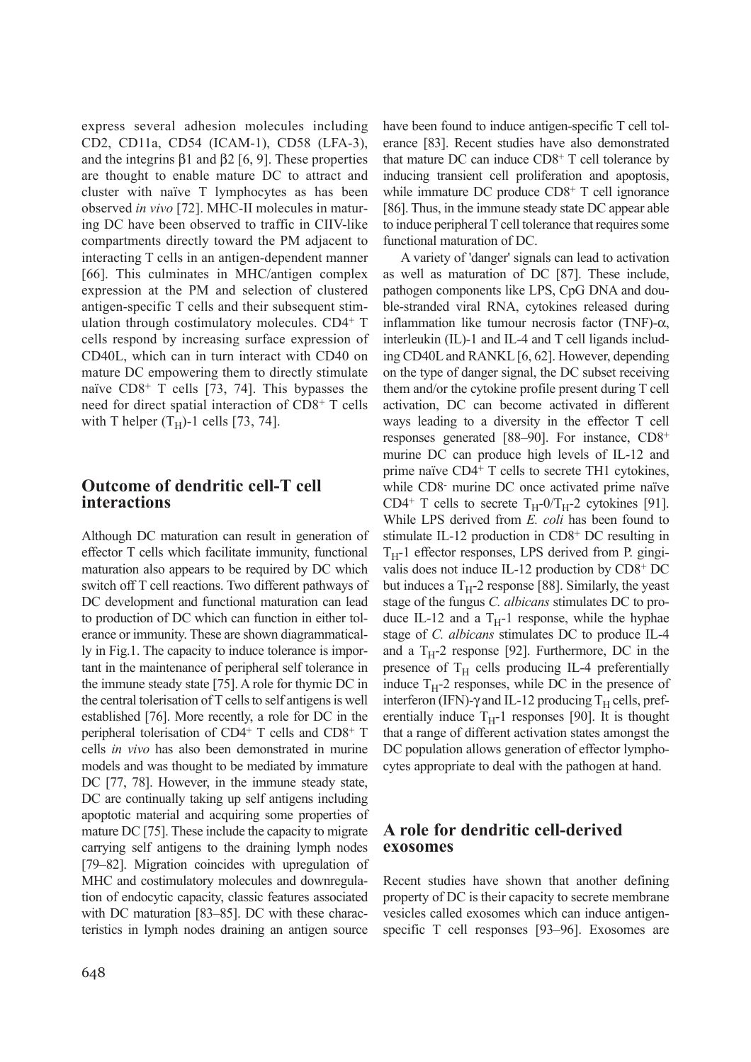express several adhesion molecules including CD2, CD11a, CD54 (ICAM-1), CD58 (LFA-3), and the integrins  $β1$  and  $β2$  [6, 9]. These properties are thought to enable mature DC to attract and cluster with naïve T lymphocytes as has been observed *in vivo* [72]. MHC-II molecules in maturing DC have been observed to traffic in CIIV-like compartments directly toward the PM adjacent to interacting T cells in an antigen-dependent manner [66]. This culminates in MHC/antigen complex expression at the PM and selection of clustered antigen-specific T cells and their subsequent stimulation through costimulatory molecules. CD4+ T cells respond by increasing surface expression of CD40L, which can in turn interact with CD40 on mature DC empowering them to directly stimulate naïve CD8+ T cells [73, 74]. This bypasses the need for direct spatial interaction of CD8+ T cells with T helper  $(T_H)$ -1 cells [73, 74].

## **Outcome of dendritic cell-T cell interactions**

Although DC maturation can result in generation of effector T cells which facilitate immunity, functional maturation also appears to be required by DC which switch off T cell reactions. Two different pathways of DC development and functional maturation can lead to production of DC which can function in either tolerance or immunity. These are shown diagrammatically in Fig.1. The capacity to induce tolerance is important in the maintenance of peripheral self tolerance in the immune steady state [75]. A role for thymic DC in the central tolerisation of T cells to self antigens is well established [76]. More recently, a role for DC in the peripheral tolerisation of CD4+ T cells and CD8+ T cells *in vivo* has also been demonstrated in murine models and was thought to be mediated by immature DC [77, 78]. However, in the immune steady state, DC are continually taking up self antigens including apoptotic material and acquiring some properties of mature DC [75]. These include the capacity to migrate carrying self antigens to the draining lymph nodes [79–82]. Migration coincides with upregulation of MHC and costimulatory molecules and downregulation of endocytic capacity, classic features associated with DC maturation [83–85]. DC with these characteristics in lymph nodes draining an antigen source

have been found to induce antigen-specific T cell tolerance [83]. Recent studies have also demonstrated that mature DC can induce CD8+ T cell tolerance by inducing transient cell proliferation and apoptosis, while immature DC produce CD8<sup>+</sup> T cell ignorance [86]. Thus, in the immune steady state DC appear able to induce peripheral T cell tolerance that requires some functional maturation of DC.

A variety of 'danger' signals can lead to activation as well as maturation of DC [87]. These include, pathogen components like LPS, CpG DNA and double-stranded viral RNA, cytokines released during inflammation like tumour necrosis factor (TNF)-α, interleukin (IL)-1 and IL-4 and T cell ligands including CD40L and RANKL [6, 62]. However, depending on the type of danger signal, the DC subset receiving them and/or the cytokine profile present during T cell activation, DC can become activated in different ways leading to a diversity in the effector T cell responses generated [88–90]. For instance, CD8+ murine DC can produce high levels of IL-12 and prime naïve CD4+ T cells to secrete TH1 cytokines, while CD8- murine DC once activated prime naïve CD4<sup>+</sup> T cells to secrete  $T_H$ -0/ $T_H$ -2 cytokines [91]. While LPS derived from *E. coli* has been found to stimulate IL-12 production in CD8+ DC resulting in  $T_H$ -1 effector responses, LPS derived from P. gingivalis does not induce IL-12 production by CD8+ DC but induces a  $T_H$ -2 response [88]. Similarly, the yeast stage of the fungus *C. albicans* stimulates DC to produce IL-12 and a  $T_H$ -1 response, while the hyphae stage of *C. albicans* stimulates DC to produce IL-4 and a  $T_H$ -2 response [92]. Furthermore, DC in the presence of  $T_H$  cells producing IL-4 preferentially induce  $T_H$ -2 responses, while DC in the presence of interferon (IFN)-γ and IL-12 producing  $T_H$  cells, preferentially induce  $T_H$ -1 responses [90]. It is thought that a range of different activation states amongst the DC population allows generation of effector lymphocytes appropriate to deal with the pathogen at hand.

## **A role for dendritic cell-derived exosomes**

Recent studies have shown that another defining property of DC is their capacity to secrete membrane vesicles called exosomes which can induce antigenspecific T cell responses [93–96]. Exosomes are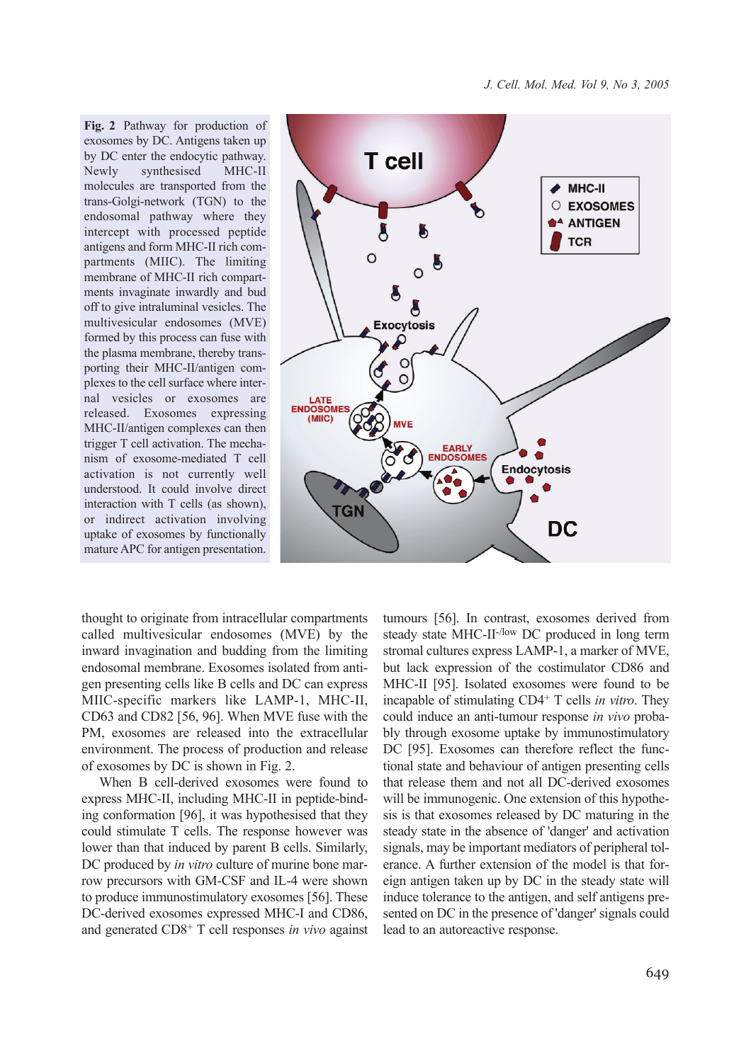**Fig. 2** Pathway for production of exosomes by DC. Antigens taken up by DC enter the endocytic pathway. Newly synthesised MHC-II molecules are transported from the trans-Golgi-network (TGN) to the endosomal pathway where they intercept with processed peptide antigens and form MHC-II rich compartments (MIIC). The limiting membrane of MHC-II rich compartments invaginate inwardly and bud off to give intraluminal vesicles. The multivesicular endosomes (MVE) formed by this process can fuse with the plasma membrane, thereby transporting their MHC-II/antigen complexes to the cell surface where internal vesicles or exosomes are released. Exosomes expressing MHC-II/antigen complexes can then trigger T cell activation. The mechanism of exosome-mediated T cell activation is not currently well understood. It could involve direct interaction with T cells (as shown), or indirect activation involving uptake of exosomes by functionally mature APC for antigen presentation.



thought to originate from intracellular compartments called multivesicular endosomes (MVE) by the inward invagination and budding from the limiting endosomal membrane. Exosomes isolated from antigen presenting cells like B cells and DC can express MIIC-specific markers like LAMP-1, MHC-II, CD63 and CD82 [56, 96]. When MVE fuse with the PM, exosomes are released into the extracellular environment. The process of production and release of exosomes by DC is shown in Fig. 2.

When B cell-derived exosomes were found to express MHC-II, including MHC-II in peptide-binding conformation [96], it was hypothesised that they could stimulate T cells. The response however was lower than that induced by parent B cells. Similarly, DC produced by *in vitro* culture of murine bone marrow precursors with GM-CSF and IL-4 were shown to produce immunostimulatory exosomes [56]. These DC-derived exosomes expressed MHC-I and CD86, and generated CD8+ T cell responses *in vivo* against

tumours [56]. In contrast, exosomes derived from steady state MHC-II-/low DC produced in long term stromal cultures express LAMP-1, a marker of MVE, but lack expression of the costimulator CD86 and MHC-II [95]. Isolated exosomes were found to be incapable of stimulating CD4+ T cells *in vitro*. They could induce an anti-tumour response *in vivo* probably through exosome uptake by immunostimulatory DC [95]. Exosomes can therefore reflect the functional state and behaviour of antigen presenting cells that release them and not all DC-derived exosomes will be immunogenic. One extension of this hypothesis is that exosomes released by DC maturing in the steady state in the absence of 'danger' and activation signals, may be important mediators of peripheral tolerance. A further extension of the model is that foreign antigen taken up by DC in the steady state will induce tolerance to the antigen, and self antigens presented on DC in the presence of 'danger' signals could lead to an autoreactive response.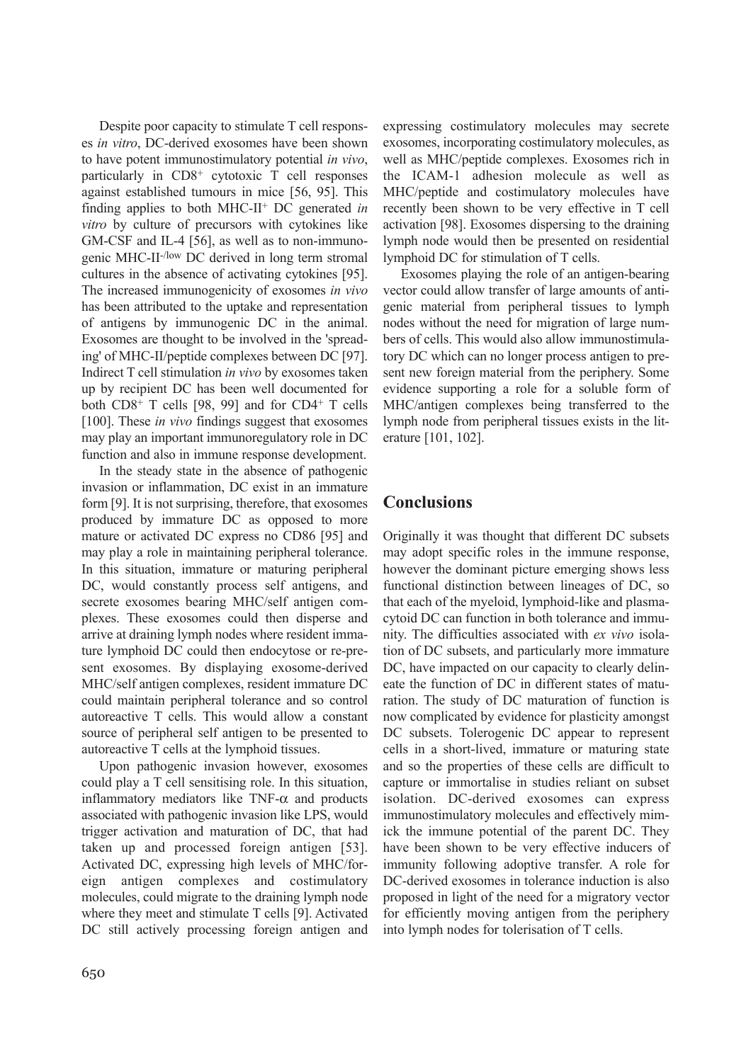Despite poor capacity to stimulate T cell responses *in vitro*, DC-derived exosomes have been shown to have potent immunostimulatory potential *in vivo*, particularly in CD8+ cytotoxic T cell responses against established tumours in mice [56, 95]. This finding applies to both MHC-II+ DC generated *in vitro* by culture of precursors with cytokines like GM-CSF and IL-4 [56], as well as to non-immunogenic MHC-II-/low DC derived in long term stromal cultures in the absence of activating cytokines [95]. The increased immunogenicity of exosomes *in vivo* has been attributed to the uptake and representation of antigens by immunogenic DC in the animal. Exosomes are thought to be involved in the 'spreading' of MHC-II/peptide complexes between DC [97]. Indirect T cell stimulation *in vivo* by exosomes taken up by recipient DC has been well documented for both CD8+ T cells [98, 99] and for CD4+ T cells [100]. These *in vivo* findings suggest that exosomes may play an important immunoregulatory role in DC function and also in immune response development.

In the steady state in the absence of pathogenic invasion or inflammation, DC exist in an immature form [9]. It is not surprising, therefore, that exosomes produced by immature DC as opposed to more mature or activated DC express no CD86 [95] and may play a role in maintaining peripheral tolerance. In this situation, immature or maturing peripheral DC, would constantly process self antigens, and secrete exosomes bearing MHC/self antigen complexes. These exosomes could then disperse and arrive at draining lymph nodes where resident immature lymphoid DC could then endocytose or re-present exosomes. By displaying exosome-derived MHC/self antigen complexes, resident immature DC could maintain peripheral tolerance and so control autoreactive T cells. This would allow a constant source of peripheral self antigen to be presented to autoreactive T cells at the lymphoid tissues.

Upon pathogenic invasion however, exosomes could play a T cell sensitising role. In this situation, inflammatory mediators like  $TNF-\alpha$  and products associated with pathogenic invasion like LPS, would trigger activation and maturation of DC, that had taken up and processed foreign antigen [53]. Activated DC, expressing high levels of MHC/foreign antigen complexes and costimulatory molecules, could migrate to the draining lymph node where they meet and stimulate T cells [9]. Activated DC still actively processing foreign antigen and

expressing costimulatory molecules may secrete exosomes, incorporating costimulatory molecules, as well as MHC/peptide complexes. Exosomes rich in the ICAM-1 adhesion molecule as well as MHC/peptide and costimulatory molecules have recently been shown to be very effective in T cell activation [98]. Exosomes dispersing to the draining lymph node would then be presented on residential lymphoid DC for stimulation of T cells.

Exosomes playing the role of an antigen-bearing vector could allow transfer of large amounts of antigenic material from peripheral tissues to lymph nodes without the need for migration of large numbers of cells. This would also allow immunostimulatory DC which can no longer process antigen to present new foreign material from the periphery. Some evidence supporting a role for a soluble form of MHC/antigen complexes being transferred to the lymph node from peripheral tissues exists in the literature [101, 102].

# **Conclusions**

Originally it was thought that different DC subsets may adopt specific roles in the immune response, however the dominant picture emerging shows less functional distinction between lineages of DC, so that each of the myeloid, lymphoid-like and plasmacytoid DC can function in both tolerance and immunity. The difficulties associated with *ex vivo* isolation of DC subsets, and particularly more immature DC, have impacted on our capacity to clearly delineate the function of DC in different states of maturation. The study of DC maturation of function is now complicated by evidence for plasticity amongst DC subsets. Tolerogenic DC appear to represent cells in a short-lived, immature or maturing state and so the properties of these cells are difficult to capture or immortalise in studies reliant on subset isolation. DC-derived exosomes can express immunostimulatory molecules and effectively mimick the immune potential of the parent DC. They have been shown to be very effective inducers of immunity following adoptive transfer. A role for DC-derived exosomes in tolerance induction is also proposed in light of the need for a migratory vector for efficiently moving antigen from the periphery into lymph nodes for tolerisation of T cells.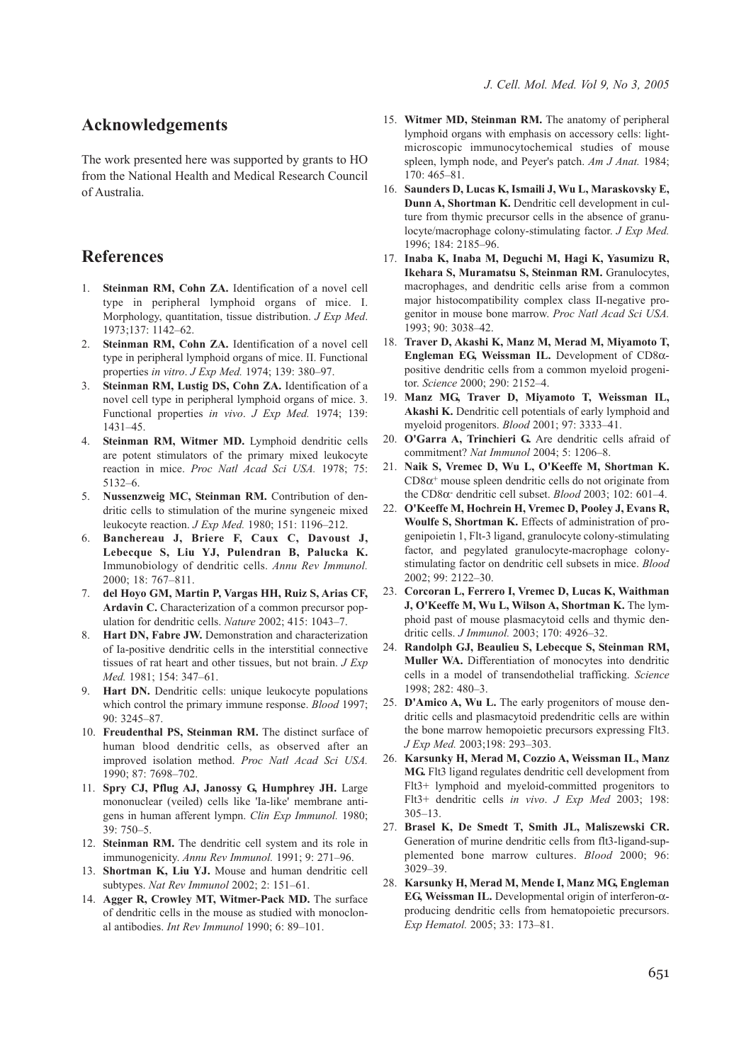## **Acknowledgements**

The work presented here was supported by grants to HO from the National Health and Medical Research Council of Australia.

## **References**

- 1. **Steinman RM, Cohn ZA.** Identification of a novel cell type in peripheral lymphoid organs of mice. I. Morphology, quantitation, tissue distribution. *J Exp Med*. 1973;137: 1142–62.
- 2. **Steinman RM, Cohn ZA.** Identification of a novel cell type in peripheral lymphoid organs of mice. II. Functional properties *in vitro*. *J Exp Med.* 1974; 139: 380–97.
- 3. **Steinman RM, Lustig DS, Cohn ZA.** Identification of a novel cell type in peripheral lymphoid organs of mice. 3. Functional properties *in vivo*. *J Exp Med.* 1974; 139: 1431–45.
- 4. **Steinman RM, Witmer MD.** Lymphoid dendritic cells are potent stimulators of the primary mixed leukocyte reaction in mice. *Proc Natl Acad Sci USA.* 1978; 75: 5132–6.
- 5. **Nussenzweig MC, Steinman RM.** Contribution of dendritic cells to stimulation of the murine syngeneic mixed leukocyte reaction. *J Exp Med.* 1980; 151: 1196–212.
- 6. **Banchereau J, Briere F, Caux C, Davoust J, Lebecque S, Liu YJ, Pulendran B, Palucka K.** Immunobiology of dendritic cells. *Annu Rev Immunol.* 2000; 18: 767–811.
- 7. **del Hoyo GM, Martin P, Vargas HH, Ruiz S, Arias CF, Ardavin C.** Characterization of a common precursor population for dendritic cells. *Nature* 2002; 415: 1043–7.
- 8. **Hart DN, Fabre JW.** Demonstration and characterization of Ia-positive dendritic cells in the interstitial connective tissues of rat heart and other tissues, but not brain. *J Exp Med.* 1981; 154: 347–61.
- 9. **Hart DN.** Dendritic cells: unique leukocyte populations which control the primary immune response. *Blood* 1997; 90: 3245–87.
- 10. **Freudenthal PS, Steinman RM.** The distinct surface of human blood dendritic cells, as observed after an improved isolation method. *Proc Natl Acad Sci USA.* 1990; 87: 7698–702.
- 11. **Spry CJ, Pflug AJ, Janossy G, Humphrey JH.** Large mononuclear (veiled) cells like 'Ia-like' membrane antigens in human afferent lympn. *Clin Exp Immunol.* 1980; 39: 750–5.
- 12. **Steinman RM.** The dendritic cell system and its role in immunogenicity. *Annu Rev Immunol.* 1991; 9: 271–96.
- 13. **Shortman K, Liu YJ.** Mouse and human dendritic cell subtypes. *Nat Rev Immunol* 2002; 2: 151–61.
- 14. **Agger R, Crowley MT, Witmer-Pack MD.** The surface of dendritic cells in the mouse as studied with monoclonal antibodies. *Int Rev Immunol* 1990; 6: 89–101.
- 15. **Witmer MD, Steinman RM.** The anatomy of peripheral lymphoid organs with emphasis on accessory cells: lightmicroscopic immunocytochemical studies of mouse spleen, lymph node, and Peyer's patch. *Am J Anat.* 1984; 170: 465–81.
- 16. **Saunders D, Lucas K, Ismaili J, Wu L, Maraskovsky E, Dunn A, Shortman K.** Dendritic cell development in culture from thymic precursor cells in the absence of granulocyte/macrophage colony-stimulating factor. *J Exp Med.* 1996; 184: 2185–96.
- 17. **Inaba K, Inaba M, Deguchi M, Hagi K, Yasumizu R, Ikehara S, Muramatsu S, Steinman RM.** Granulocytes, macrophages, and dendritic cells arise from a common major histocompatibility complex class II-negative progenitor in mouse bone marrow. *Proc Natl Acad Sci USA.* 1993; 90: 3038–42.
- 18. **Traver D, Akashi K, Manz M, Merad M, Miyamoto T, Engleman EG, Weissman IL.** Development of CD8αpositive dendritic cells from a common myeloid progenitor. *Science* 2000; 290: 2152–4.
- 19. **Manz MG, Traver D, Miyamoto T, Weissman IL, Akashi K.** Dendritic cell potentials of early lymphoid and myeloid progenitors. *Blood* 2001; 97: 3333–41.
- 20. **O'Garra A, Trinchieri G.** Are dendritic cells afraid of commitment? *Nat Immunol* 2004; 5: 1206–8.
- 21. **Naik S, Vremec D, Wu L, O'Keeffe M, Shortman K.**  $CD8\alpha^+$  mouse spleen dendritic cells do not originate from the CD8α- dendritic cell subset. *Blood* 2003; 102: 601–4.
- 22. **O'Keeffe M, Hochrein H, Vremec D, Pooley J, Evans R, Woulfe S, Shortman K.** Effects of administration of progenipoietin 1, Flt-3 ligand, granulocyte colony-stimulating factor, and pegylated granulocyte-macrophage colonystimulating factor on dendritic cell subsets in mice. *Blood* 2002; 99: 2122–30.
- 23. **Corcoran L, Ferrero I, Vremec D, Lucas K, Waithman J, O'Keeffe M, Wu L, Wilson A, Shortman K.** The lymphoid past of mouse plasmacytoid cells and thymic dendritic cells. *J Immunol.* 2003; 170: 4926–32.
- 24. **Randolph GJ, Beaulieu S, Lebecque S, Steinman RM, Muller WA.** Differentiation of monocytes into dendritic cells in a model of transendothelial trafficking. *Science* 1998; 282: 480–3.
- 25. **D'Amico A, Wu L.** The early progenitors of mouse dendritic cells and plasmacytoid predendritic cells are within the bone marrow hemopoietic precursors expressing Flt3. *J Exp Med.* 2003;198: 293–303.
- 26. **Karsunky H, Merad M, Cozzio A, Weissman IL, Manz MG.** Flt3 ligand regulates dendritic cell development from Flt3+ lymphoid and myeloid-committed progenitors to Flt3+ dendritic cells *in vivo*. *J Exp Med* 2003; 198: 305–13.
- 27. **Brasel K, De Smedt T, Smith JL, Maliszewski CR.** Generation of murine dendritic cells from flt3-ligand-supplemented bone marrow cultures. *Blood* 2000; 96: 3029–39.
- 28. **Karsunky H, Merad M, Mende I, Manz MG, Engleman EG, Weissman IL.** Developmental origin of interferon-αproducing dendritic cells from hematopoietic precursors. *Exp Hematol.* 2005; 33: 173–81.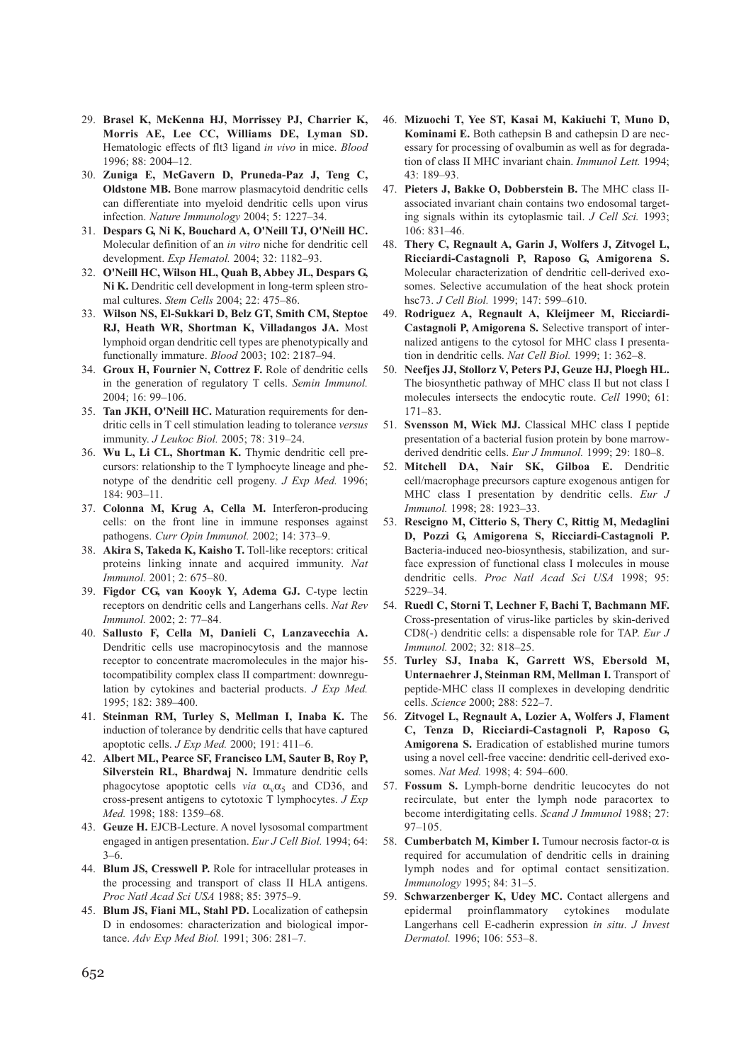- 29. **Brasel K, McKenna HJ, Morrissey PJ, Charrier K, Morris AE, Lee CC, Williams DE, Lyman SD.** Hematologic effects of flt3 ligand *in vivo* in mice. *Blood* 1996; 88: 2004–12.
- 30. **Zuniga E, McGavern D, Pruneda-Paz J, Teng C, Oldstone MB.** Bone marrow plasmacytoid dendritic cells can differentiate into myeloid dendritic cells upon virus infection. *Nature Immunology* 2004; 5: 1227–34.
- 31. **Despars G, Ni K, Bouchard A, O'Neill TJ, O'Neill HC.** Molecular definition of an *in vitro* niche for dendritic cell development. *Exp Hematol.* 2004; 32: 1182–93.
- 32. **O'Neill HC, Wilson HL, Quah B, Abbey JL, Despars G, Ni K.** Dendritic cell development in long-term spleen stromal cultures. *Stem Cells* 2004; 22: 475–86.
- 33. **Wilson NS, El-Sukkari D, Belz GT, Smith CM, Steptoe RJ, Heath WR, Shortman K, Villadangos JA.** Most lymphoid organ dendritic cell types are phenotypically and functionally immature. *Blood* 2003; 102: 2187–94.
- 34. **Groux H, Fournier N, Cottrez F.** Role of dendritic cells in the generation of regulatory T cells. *Semin Immunol.* 2004; 16: 99–106.
- 35. **Tan JKH, O'Neill HC.** Maturation requirements for dendritic cells in T cell stimulation leading to tolerance *versus* immunity. *J Leukoc Biol.* 2005; 78: 319–24.
- 36. **Wu L, Li CL, Shortman K.** Thymic dendritic cell precursors: relationship to the T lymphocyte lineage and phenotype of the dendritic cell progeny. *J Exp Med.* 1996; 184: 903–11.
- 37. **Colonna M, Krug A, Cella M.** Interferon-producing cells: on the front line in immune responses against pathogens. *Curr Opin Immunol.* 2002; 14: 373–9.
- 38. **Akira S, Takeda K, Kaisho T.** Toll-like receptors: critical proteins linking innate and acquired immunity. *Nat Immunol.* 2001; 2: 675–80.
- 39. **Figdor CG, van Kooyk Y, Adema GJ.** C-type lectin receptors on dendritic cells and Langerhans cells. *Nat Rev Immunol.* 2002; 2: 77–84.
- 40. **Sallusto F, Cella M, Danieli C, Lanzavecchia A.** Dendritic cells use macropinocytosis and the mannose receptor to concentrate macromolecules in the major histocompatibility complex class II compartment: downregulation by cytokines and bacterial products. *J Exp Med.* 1995; 182: 389–400.
- 41. **Steinman RM, Turley S, Mellman I, Inaba K.** The induction of tolerance by dendritic cells that have captured apoptotic cells. *J Exp Med.* 2000; 191: 411–6.
- 42. **Albert ML, Pearce SF, Francisco LM, Sauter B, Roy P, Silverstein RL, Bhardwaj N.** Immature dendritic cells phagocytose apoptotic cells *via*  $\alpha_v \alpha_5$  and CD36, and cross-present antigens to cytotoxic T lymphocytes. *J Exp Med.* 1998; 188: 1359–68.
- 43. **Geuze H.** EJCB-Lecture. A novel lysosomal compartment engaged in antigen presentation. *Eur J Cell Biol.* 1994; 64:  $3-6.$
- 44. **Blum JS, Cresswell P.** Role for intracellular proteases in the processing and transport of class II HLA antigens. *Proc Natl Acad Sci USA* 1988; 85: 3975–9.
- 45. **Blum JS, Fiani ML, Stahl PD.** Localization of cathepsin D in endosomes: characterization and biological importance. *Adv Exp Med Biol.* 1991; 306: 281–7.
- 46. **Mizuochi T, Yee ST, Kasai M, Kakiuchi T, Muno D, Kominami E.** Both cathepsin B and cathepsin D are necessary for processing of ovalbumin as well as for degradation of class II MHC invariant chain. *Immunol Lett.* 1994; 43: 189–93.
- 47. **Pieters J, Bakke O, Dobberstein B.** The MHC class IIassociated invariant chain contains two endosomal targeting signals within its cytoplasmic tail. *J Cell Sci.* 1993; 106: 831–46.
- 48. **Thery C, Regnault A, Garin J, Wolfers J, Zitvogel L, Ricciardi-Castagnoli P, Raposo G, Amigorena S.** Molecular characterization of dendritic cell-derived exosomes. Selective accumulation of the heat shock protein hsc73. *J Cell Biol.* 1999; 147: 599–610.
- 49. **Rodriguez A, Regnault A, Kleijmeer M, Ricciardi-Castagnoli P, Amigorena S.** Selective transport of internalized antigens to the cytosol for MHC class I presentation in dendritic cells. *Nat Cell Biol.* 1999; 1: 362–8.
- 50. **Neefjes JJ, Stollorz V, Peters PJ, Geuze HJ, Ploegh HL.** The biosynthetic pathway of MHC class II but not class I molecules intersects the endocytic route. *Cell* 1990; 61: 171–83.
- 51. **Svensson M, Wick MJ.** Classical MHC class I peptide presentation of a bacterial fusion protein by bone marrowderived dendritic cells. *Eur J Immunol.* 1999; 29: 180–8.
- 52. **Mitchell DA, Nair SK, Gilboa E.** Dendritic cell/macrophage precursors capture exogenous antigen for MHC class I presentation by dendritic cells. *Eur J Immunol.* 1998; 28: 1923–33.
- 53. **Rescigno M, Citterio S, Thery C, Rittig M, Medaglini D, Pozzi G, Amigorena S, Ricciardi-Castagnoli P.** Bacteria-induced neo-biosynthesis, stabilization, and surface expression of functional class I molecules in mouse dendritic cells. *Proc Natl Acad Sci USA* 1998; 95: 5229–34.
- 54. **Ruedl C, Storni T, Lechner F, Bachi T, Bachmann MF.** Cross-presentation of virus-like particles by skin-derived CD8(-) dendritic cells: a dispensable role for TAP. *Eur J Immunol.* 2002; 32: 818–25.
- 55. **Turley SJ, Inaba K, Garrett WS, Ebersold M, Unternaehrer J, Steinman RM, Mellman I.** Transport of peptide-MHC class II complexes in developing dendritic cells. *Science* 2000; 288: 522–7.
- 56. **Zitvogel L, Regnault A, Lozier A, Wolfers J, Flament C, Tenza D, Ricciardi-Castagnoli P, Raposo G, Amigorena S.** Eradication of established murine tumors using a novel cell-free vaccine: dendritic cell-derived exosomes. *Nat Med.* 1998; 4: 594–600.
- 57. **Fossum S.** Lymph-borne dendritic leucocytes do not recirculate, but enter the lymph node paracortex to become interdigitating cells. *Scand J Immunol* 1988; 27: 97–105.
- 58. **Cumberbatch M, Kimber I.** Tumour necrosis factor-α is required for accumulation of dendritic cells in draining lymph nodes and for optimal contact sensitization. *Immunology* 1995; 84: 31–5.
- 59. **Schwarzenberger K, Udey MC.** Contact allergens and epidermal proinflammatory cytokines modulate Langerhans cell E-cadherin expression *in situ*. *J Invest Dermatol.* 1996; 106: 553–8.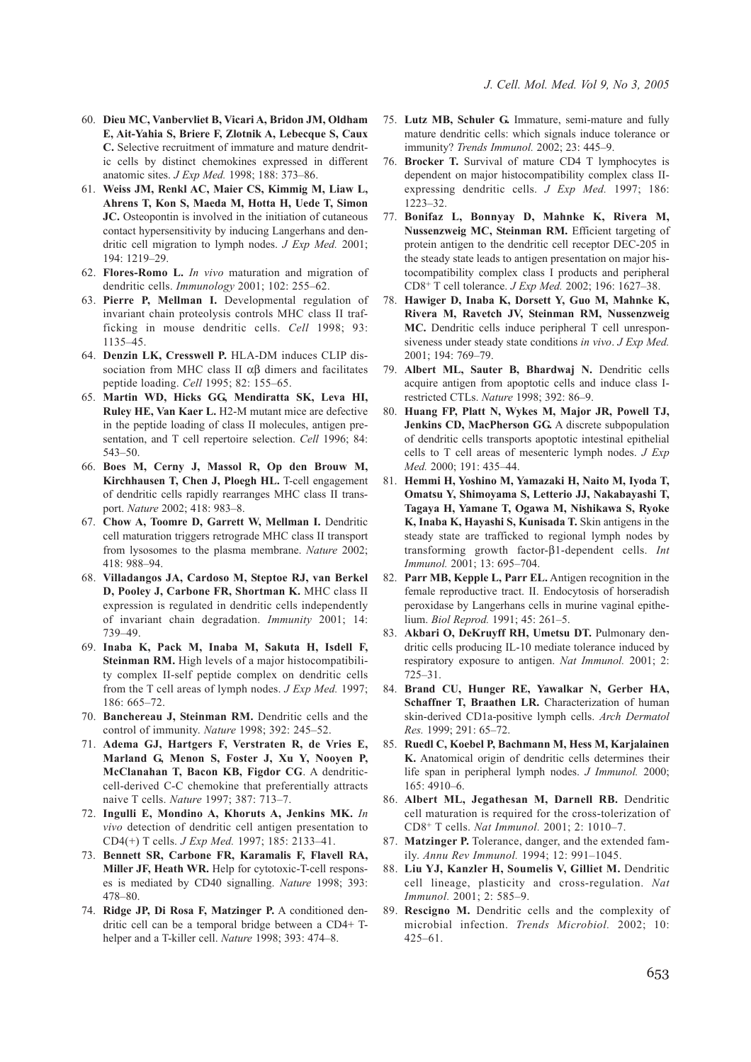- 60. **Dieu MC, Vanbervliet B, Vicari A, Bridon JM, Oldham E, Ait-Yahia S, Briere F, Zlotnik A, Lebecque S, Caux C.** Selective recruitment of immature and mature dendritic cells by distinct chemokines expressed in different anatomic sites. *J Exp Med.* 1998; 188: 373–86.
- 61. **Weiss JM, Renkl AC, Maier CS, Kimmig M, Liaw L, Ahrens T, Kon S, Maeda M, Hotta H, Uede T, Simon JC.** Osteopontin is involved in the initiation of cutaneous contact hypersensitivity by inducing Langerhans and dendritic cell migration to lymph nodes. *J Exp Med.* 2001; 194: 1219–29.
- 62. **Flores-Romo L.** *In vivo* maturation and migration of dendritic cells. *Immunology* 2001; 102: 255–62.
- 63. **Pierre P, Mellman I.** Developmental regulation of invariant chain proteolysis controls MHC class II trafficking in mouse dendritic cells. *Cell* 1998; 93: 1135–45.
- 64. **Denzin LK, Cresswell P.** HLA-DM induces CLIP dissociation from MHC class II  $\alpha\beta$  dimers and facilitates peptide loading. *Cell* 1995; 82: 155–65.
- 65. **Martin WD, Hicks GG, Mendiratta SK, Leva HI, Ruley HE, Van Kaer L.** H2-M mutant mice are defective in the peptide loading of class II molecules, antigen presentation, and T cell repertoire selection. *Cell* 1996; 84: 543–50.
- 66. **Boes M, Cerny J, Massol R, Op den Brouw M, Kirchhausen T, Chen J, Ploegh HL.** T-cell engagement of dendritic cells rapidly rearranges MHC class II transport. *Nature* 2002; 418: 983–8.
- 67. **Chow A, Toomre D, Garrett W, Mellman I.** Dendritic cell maturation triggers retrograde MHC class II transport from lysosomes to the plasma membrane. *Nature* 2002; 418: 988–94.
- 68. **Villadangos JA, Cardoso M, Steptoe RJ, van Berkel D, Pooley J, Carbone FR, Shortman K.** MHC class II expression is regulated in dendritic cells independently of invariant chain degradation. *Immunity* 2001; 14: 739–49.
- 69. **Inaba K, Pack M, Inaba M, Sakuta H, Isdell F, Steinman RM.** High levels of a major histocompatibility complex II-self peptide complex on dendritic cells from the T cell areas of lymph nodes. *J Exp Med.* 1997; 186: 665–72.
- 70. **Banchereau J, Steinman RM.** Dendritic cells and the control of immunity. *Nature* 1998; 392: 245–52.
- 71. **Adema GJ, Hartgers F, Verstraten R, de Vries E, Marland G, Menon S, Foster J, Xu Y, Nooyen P, McClanahan T, Bacon KB, Figdor CG**. A dendriticcell-derived C-C chemokine that preferentially attracts naive T cells. *Nature* 1997; 387: 713–7.
- 72. **Ingulli E, Mondino A, Khoruts A, Jenkins MK.** *In vivo* detection of dendritic cell antigen presentation to CD4(+) T cells. *J Exp Med.* 1997; 185: 2133–41.
- 73. **Bennett SR, Carbone FR, Karamalis F, Flavell RA, Miller JF, Heath WR.** Help for cytotoxic-T-cell responses is mediated by CD40 signalling. *Nature* 1998; 393: 478–80.
- 74. **Ridge JP, Di Rosa F, Matzinger P.** A conditioned dendritic cell can be a temporal bridge between a CD4+ Thelper and a T-killer cell. *Nature* 1998; 393: 474–8.
- 75. **Lutz MB, Schuler G.** Immature, semi-mature and fully mature dendritic cells: which signals induce tolerance or immunity? *Trends Immunol.* 2002; 23: 445–9.
- 76. **Brocker T.** Survival of mature CD4 T lymphocytes is dependent on major histocompatibility complex class IIexpressing dendritic cells. *J Exp Med.* 1997; 186: 1223–32.
- 77. **Bonifaz L, Bonnyay D, Mahnke K, Rivera M, Nussenzweig MC, Steinman RM.** Efficient targeting of protein antigen to the dendritic cell receptor DEC-205 in the steady state leads to antigen presentation on major histocompatibility complex class I products and peripheral CD8+ T cell tolerance. *J Exp Med.* 2002; 196: 1627–38.
- 78. **Hawiger D, Inaba K, Dorsett Y, Guo M, Mahnke K, Rivera M, Ravetch JV, Steinman RM, Nussenzweig MC.** Dendritic cells induce peripheral T cell unresponsiveness under steady state conditions *in vivo*. *J Exp Med.* 2001; 194: 769–79.
- 79. **Albert ML, Sauter B, Bhardwaj N.** Dendritic cells acquire antigen from apoptotic cells and induce class Irestricted CTLs. *Nature* 1998; 392: 86–9.
- 80. **Huang FP, Platt N, Wykes M, Major JR, Powell TJ, Jenkins CD, MacPherson GG.** A discrete subpopulation of dendritic cells transports apoptotic intestinal epithelial cells to T cell areas of mesenteric lymph nodes. *J Exp Med.* 2000; 191: 435–44.
- 81. **Hemmi H, Yoshino M, Yamazaki H, Naito M, Iyoda T, Omatsu Y, Shimoyama S, Letterio JJ, Nakabayashi T, Tagaya H, Yamane T, Ogawa M, Nishikawa S, Ryoke K, Inaba K, Hayashi S, Kunisada T.** Skin antigens in the steady state are trafficked to regional lymph nodes by transforming growth factor-β1-dependent cells. *Int Immunol.* 2001; 13: 695–704.
- 82. **Parr MB, Kepple L, Parr EL.** Antigen recognition in the female reproductive tract. II. Endocytosis of horseradish peroxidase by Langerhans cells in murine vaginal epithelium. *Biol Reprod.* 1991; 45: 261–5.
- 83. **Akbari O, DeKruyff RH, Umetsu DT.** Pulmonary dendritic cells producing IL-10 mediate tolerance induced by respiratory exposure to antigen. *Nat Immunol.* 2001; 2: 725–31.
- 84. **Brand CU, Hunger RE, Yawalkar N, Gerber HA, Schaffner T, Braathen LR.** Characterization of human skin-derived CD1a-positive lymph cells. *Arch Dermatol Res.* 1999; 291: 65–72.
- 85. **Ruedl C, Koebel P, Bachmann M, Hess M, Karjalainen K.** Anatomical origin of dendritic cells determines their life span in peripheral lymph nodes. *J Immunol.* 2000; 165: 4910–6.
- 86. **Albert ML, Jegathesan M, Darnell RB.** Dendritic cell maturation is required for the cross-tolerization of CD8+ T cells. *Nat Immunol.* 2001; 2: 1010–7.
- 87. **Matzinger P.** Tolerance, danger, and the extended family. *Annu Rev Immunol.* 1994; 12: 991–1045.
- 88. **Liu YJ, Kanzler H, Soumelis V, Gilliet M.** Dendritic cell lineage, plasticity and cross-regulation. *Nat Immunol.* 2001; 2: 585–9.
- 89. **Rescigno M.** Dendritic cells and the complexity of microbial infection. *Trends Microbiol.* 2002; 10: 425–61.